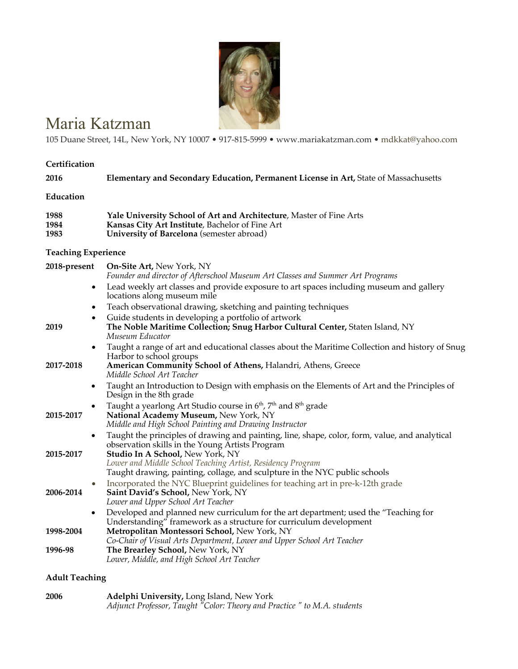

# Maria Katzman

105 Duane Street, 14L, New York, NY 10007 • 917-815-5999 • www.mariakatzman.com • mdkkat@yahoo.com

#### **Certification**

| 2016 | Elementary and Secondary Education, Permanent License in Art, State of Massachusetts |
|------|--------------------------------------------------------------------------------------|
| . .  |                                                                                      |

## **Education**

| 1988 | Yale University School of Art and Architecture, Master of Fine Arts |
|------|---------------------------------------------------------------------|
| 1984 | Kansas City Art Institute, Bachelor of Fine Art                     |
| 1983 | University of Barcelona (semester abroad)                           |

# **Teaching Experience**

| 2018-present | On-Site Art, New York, NY<br>Founder and director of Afterschool Museum Art Classes and Summer Art Programs                                                                                                                           |
|--------------|---------------------------------------------------------------------------------------------------------------------------------------------------------------------------------------------------------------------------------------|
|              | Lead weekly art classes and provide exposure to art spaces including museum and gallery<br>$\bullet$<br>locations along museum mile                                                                                                   |
|              | Teach observational drawing, sketching and painting techniques<br>$\bullet$                                                                                                                                                           |
| 2019         | Guide students in developing a portfolio of artwork<br>$\bullet$<br>The Noble Maritime Collection; Snug Harbor Cultural Center, Staten Island, NY<br>Museum Educator                                                                  |
| 2017-2018    | Taught a range of art and educational classes about the Maritime Collection and history of Snug<br>$\bullet$<br>Harbor to school groups<br>American Community School of Athens, Halandri, Athens, Greece<br>Middle School Art Teacher |
|              | Taught an Introduction to Design with emphasis on the Elements of Art and the Principles of<br>$\bullet$<br>Design in the 8th grade                                                                                                   |
| 2015-2017    | Taught a yearlong Art Studio course in 6 <sup>th</sup> , 7 <sup>th</sup> and 8 <sup>th</sup> grade<br>$\bullet$<br>National Academy Museum, New York, NY<br>Middle and High School Painting and Drawing Instructor                    |
| 2015-2017    | Taught the principles of drawing and painting, line, shape, color, form, value, and analytical<br>$\bullet$<br>observation skills in the Young Artists Program<br>Studio In A School, New York, NY                                    |
|              | Lower and Middle School Teaching Artist, Residency Program<br>Taught drawing, painting, collage, and sculpture in the NYC public schools                                                                                              |
| 2006-2014    | Incorporated the NYC Blueprint guidelines for teaching art in pre-k-12th grade<br>Saint David's School, New York, NY<br>Lower and Upper School Art Teacher                                                                            |
| 1998-2004    | Developed and planned new curriculum for the art department; used the "Teaching for<br>$\bullet$<br>Understanding" framework as a structure for curriculum development<br>Metropolitan Montessori School, New York, NY                |
| 1996-98      | Co-Chair of Visual Arts Department, Lower and Upper School Art Teacher<br>The Brearley School, New York, NY<br>Lower, Middle, and High School Art Teacher                                                                             |

# **Adult Teaching**

| 2006 | Adelphi University, Long Island, New York                               |
|------|-------------------------------------------------------------------------|
|      | Adjunct Professor, Taught "Color: Theory and Practice" to M.A. students |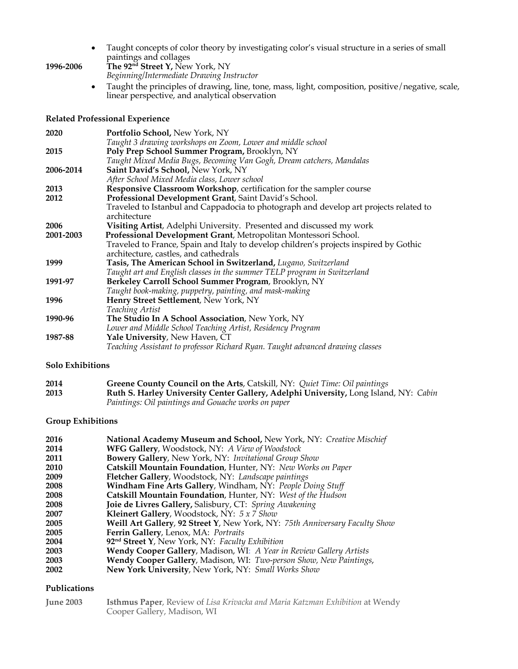- Taught concepts of color theory by investigating color's visual structure in a series of small paintings and collages
- **1996-2006 The 92nd Street Y,** New York, NY *Beginning/Intermediate Drawing Instructor*
	- Taught the principles of drawing, line, tone, mass, light, composition, positive/negative, scale, linear perspective, and analytical observation

#### **Related Professional Experience**

| 2020      | <b>Portfolio School, New York, NY</b>                                                 |
|-----------|---------------------------------------------------------------------------------------|
|           | Taught 3 drawing workshops on Zoom, Lower and middle school                           |
| 2015      | Poly Prep School Summer Program, Brooklyn, NY                                         |
|           | Taught Mixed Media Bugs, Becoming Van Gogh, Dream catchers, Mandalas                  |
| 2006-2014 | Saint David's School, New York, NY                                                    |
|           | After School Mixed Media class, Lower school                                          |
| 2013      | <b>Responsive Classroom Workshop</b> , certification for the sampler course           |
| 2012      | Professional Development Grant, Saint David's School.                                 |
|           | Traveled to Istanbul and Cappadocia to photograph and develop art projects related to |
|           | architecture                                                                          |
| 2006      | Visiting Artist, Adelphi University. Presented and discussed my work                  |
| 2001-2003 | Professional Development Grant, Metropolitan Montessori School.                       |
|           | Traveled to France, Spain and Italy to develop children's projects inspired by Gothic |
|           | architecture, castles, and cathedrals                                                 |
| 1999      | Tasis, The American School in Switzerland, Lugano, Switzerland                        |
|           | Taught art and English classes in the summer TELP program in Switzerland              |
| 1991-97   | Berkeley Carroll School Summer Program, Brooklyn, NY                                  |
|           | Taught book-making, puppetry, painting, and mask-making                               |
| 1996      | Henry Street Settlement, New York, NY                                                 |
|           | Teaching Artist                                                                       |
| 1990-96   | The Studio In A School Association, New York, NY                                      |
|           | Lower and Middle School Teaching Artist, Residency Program                            |
| 1987-88   | Yale University, New Haven, CT                                                        |
|           | Teaching Assistant to professor Richard Ryan. Taught advanced drawing classes         |

#### **Solo Exhibitions**

| 2014 | Greene County Council on the Arts, Catskill, NY: Quiet Time: Oil paintings           |
|------|--------------------------------------------------------------------------------------|
| 2013 | Ruth S. Harley University Center Gallery, Adelphi University, Long Island, NY: Cabin |
|      | Paintings: Oil paintings and Gouache works on paper                                  |

#### **Group Exhibitions**

| 2016 | National Academy Museum and School, New York, NY: Creative Mischief         |
|------|-----------------------------------------------------------------------------|
| 2014 | WFG Gallery, Woodstock, NY: A View of Woodstock                             |
| 2011 | <b>Bowery Gallery, New York, NY: Invitational Group Show</b>                |
| 2010 | Catskill Mountain Foundation, Hunter, NY: New Works on Paper                |
| 2009 | Fletcher Gallery, Woodstock, NY: Landscape paintings                        |
| 2008 | Windham Fine Arts Gallery, Windham, NY: People Doing Stuff                  |
| 2008 | Catskill Mountain Foundation, Hunter, NY: West of the Hudson                |
| 2008 | Joie de Livres Gallery, Salisbury, CT: Spring Awakening                     |
| 2007 | Kleinert Gallery, Woodstock, NY: 5 x 7 Show                                 |
| 2005 | Weill Art Gallery, 92 Street Y, New York, NY: 75th Anniversary Faculty Show |
| 2005 | Ferrin Gallery, Lenox, MA: Portraits                                        |
| 2004 | 92 <sup>nd</sup> Street Y, New York, NY: Faculty Exhibition                 |
| 2003 | Wendy Cooper Gallery, Madison, WI: A Year in Review Gallery Artists         |
| 2003 | Wendy Cooper Gallery, Madison, WI: Two-person Show, New Paintings,          |
| 2002 | New York University, New York, NY: Small Works Show                         |

### **Publications**

| <b>June 2003</b> | <b>Isthmus Paper, Review of Lisa Krivacka and Maria Katzman Exhibition at Wendy</b> |  |  |  |
|------------------|-------------------------------------------------------------------------------------|--|--|--|
|                  | Cooper Gallery, Madison, WI                                                         |  |  |  |